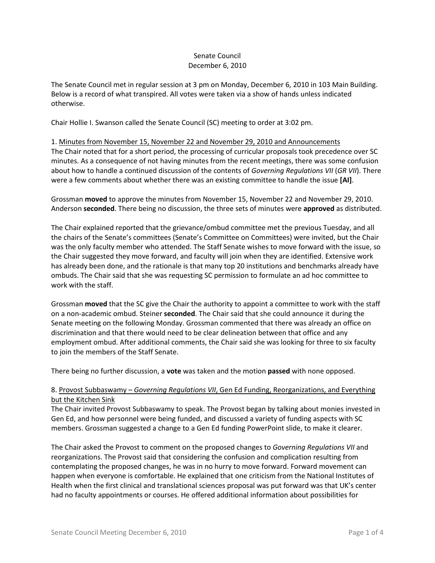## Senate Council December 6, 2010

The Senate Council met in regular session at 3 pm on Monday, December 6, 2010 in 103 Main Building. Below is a record of what transpired. All votes were taken via a show of hands unless indicated otherwise.

Chair Hollie I. Swanson called the Senate Council (SC) meeting to order at 3:02 pm.

1. Minutes from November 15, November 22 and November 29, 2010 and Announcements The Chair noted that for a short period, the processing of curricular proposals took precedence over SC minutes. As a consequence of not having minutes from the recent meetings, there was some confusion about how to handle a continued discussion of the contents of *Governing Regulations VII* (*GR VII*). There were a few comments about whether there was an existing committee to handle the issue **[AI]**.

Grossman **moved** to approve the minutes from November 15, November 22 and November 29, 2010. Anderson **seconded**. There being no discussion, the three sets of minutes were **approved** as distributed.

The Chair explained reported that the grievance/ombud committee met the previous Tuesday, and all the chairs of the Senate's committees (Senate's Committee on Committees) were invited, but the Chair was the only faculty member who attended. The Staff Senate wishes to move forward with the issue, so the Chair suggested they move forward, and faculty will join when they are identified. Extensive work has already been done, and the rationale is that many top 20 institutions and benchmarks already have ombuds. The Chair said that she was requesting SC permission to formulate an ad hoc committee to work with the staff.

Grossman **moved** that the SC give the Chair the authority to appoint a committee to work with the staff on a non-academic ombud. Steiner **seconded**. The Chair said that she could announce it during the Senate meeting on the following Monday. Grossman commented that there was already an office on discrimination and that there would need to be clear delineation between that office and any employment ombud. After additional comments, the Chair said she was looking for three to six faculty to join the members of the Staff Senate.

There being no further discussion, a **vote** was taken and the motion **passed** with none opposed.

# 8. Provost Subbaswamy – *Governing Regulations VII*, Gen Ed Funding, Reorganizations, and Everything but the Kitchen Sink

The Chair invited Provost Subbaswamy to speak. The Provost began by talking about monies invested in Gen Ed, and how personnel were being funded, and discussed a variety of funding aspects with SC members. Grossman suggested a change to a Gen Ed funding PowerPoint slide, to make it clearer.

The Chair asked the Provost to comment on the proposed changes to *Governing Regulations VII* and reorganizations. The Provost said that considering the confusion and complication resulting from contemplating the proposed changes, he was in no hurry to move forward. Forward movement can happen when everyone is comfortable. He explained that one criticism from the National Institutes of Health when the first clinical and translational sciences proposal was put forward was that UK's center had no faculty appointments or courses. He offered additional information about possibilities for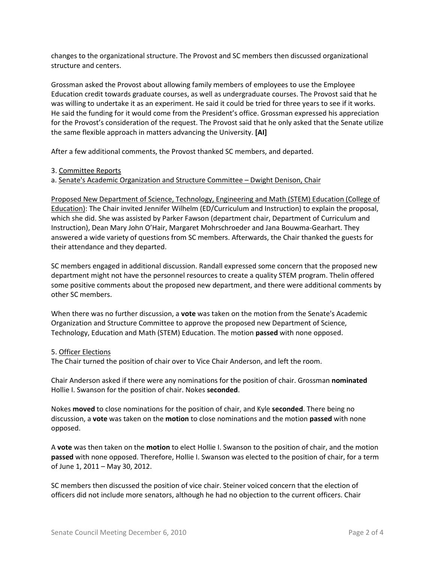changes to the organizational structure. The Provost and SC members then discussed organizational structure and centers.

Grossman asked the Provost about allowing family members of employees to use the Employee Education credit towards graduate courses, as well as undergraduate courses. The Provost said that he was willing to undertake it as an experiment. He said it could be tried for three years to see if it works. He said the funding for it would come from the President's office. Grossman expressed his appreciation for the Provost's consideration of the request. The Provost said that he only asked that the Senate utilize the same flexible approach in matters advancing the University. **[AI]**

After a few additional comments, the Provost thanked SC members, and departed.

#### 3. Committee Reports

## a. Senate's Academic Organization and Structure Committee – Dwight Denison, Chair

Proposed New Department of Science, Technology, Engineering and Math (STEM) Education (College of Education): The Chair invited Jennifer Wilhelm (ED/Curriculum and Instruction) to explain the proposal, which she did. She was assisted by Parker Fawson (department chair, Department of Curriculum and Instruction), Dean Mary John O'Hair, Margaret Mohrschroeder and Jana Bouwma-Gearhart. They answered a wide variety of questions from SC members. Afterwards, the Chair thanked the guests for their attendance and they departed.

SC members engaged in additional discussion. Randall expressed some concern that the proposed new department might not have the personnel resources to create a quality STEM program. Thelin offered some positive comments about the proposed new department, and there were additional comments by other SC members.

When there was no further discussion, a **vote** was taken on the motion from the Senate's Academic Organization and Structure Committee to approve the proposed new Department of Science, Technology, Education and Math (STEM) Education. The motion **passed** with none opposed.

#### 5. Officer Elections

The Chair turned the position of chair over to Vice Chair Anderson, and left the room.

Chair Anderson asked if there were any nominations for the position of chair. Grossman **nominated** Hollie I. Swanson for the position of chair. Nokes **seconded**.

Nokes **moved** to close nominations for the position of chair, and Kyle **seconded**. There being no discussion, a **vote** was taken on the **motion** to close nominations and the motion **passed** with none opposed.

A **vote** was then taken on the **motion** to elect Hollie I. Swanson to the position of chair, and the motion **passed** with none opposed. Therefore, Hollie I. Swanson was elected to the position of chair, for a term of June 1, 2011 – May 30, 2012.

SC members then discussed the position of vice chair. Steiner voiced concern that the election of officers did not include more senators, although he had no objection to the current officers. Chair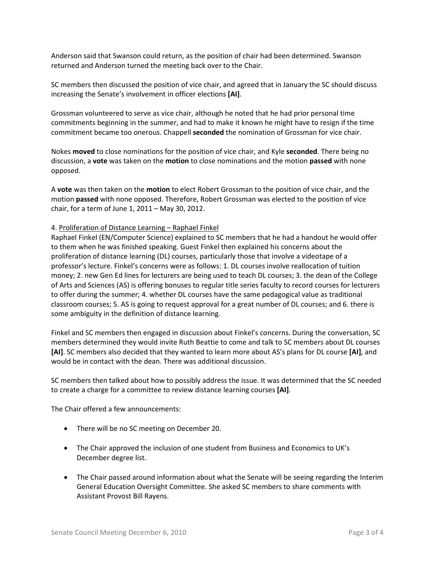Anderson said that Swanson could return, as the position of chair had been determined. Swanson returned and Anderson turned the meeting back over to the Chair.

SC members then discussed the position of vice chair, and agreed that in January the SC should discuss increasing the Senate's involvement in officer elections **[AI]**.

Grossman volunteered to serve as vice chair, although he noted that he had prior personal time commitments beginning in the summer, and had to make it known he might have to resign if the time commitment became too onerous. Chappell **seconded** the nomination of Grossman for vice chair.

Nokes **moved** to close nominations for the position of vice chair, and Kyle **seconded**. There being no discussion, a **vote** was taken on the **motion** to close nominations and the motion **passed** with none opposed.

A **vote** was then taken on the **motion** to elect Robert Grossman to the position of vice chair, and the motion **passed** with none opposed. Therefore, Robert Grossman was elected to the position of vice chair, for a term of June 1, 2011 – May 30, 2012.

## 4. Proliferation of Distance Learning – Raphael Finkel

Raphael Finkel (EN/Computer Science) explained to SC members that he had a handout he would offer to them when he was finished speaking. Guest Finkel then explained his concerns about the proliferation of distance learning (DL) courses, particularly those that involve a videotape of a professor's lecture. Finkel's concerns were as follows: 1. DL courses involve reallocation of tuition money; 2. new Gen Ed lines for lecturers are being used to teach DL courses; 3. the dean of the College of Arts and Sciences (AS) is offering bonuses to regular title series faculty to record courses for lecturers to offer during the summer; 4. whether DL courses have the same pedagogical value as traditional classroom courses; 5. AS is going to request approval for a great number of DL courses; and 6. there is some ambiguity in the definition of distance learning.

Finkel and SC members then engaged in discussion about Finkel's concerns. During the conversation, SC members determined they would invite Ruth Beattie to come and talk to SC members about DL courses **[AI]**. SC members also decided that they wanted to learn more about AS's plans for DL course **[AI]**, and would be in contact with the dean. There was additional discussion.

SC members then talked about how to possibly address the issue. It was determined that the SC needed to create a charge for a committee to review distance learning courses **[AI]**.

The Chair offered a few announcements:

- There will be no SC meeting on December 20.
- The Chair approved the inclusion of one student from Business and Economics to UK's December degree list.
- The Chair passed around information about what the Senate will be seeing regarding the Interim General Education Oversight Committee. She asked SC members to share comments with Assistant Provost Bill Rayens.